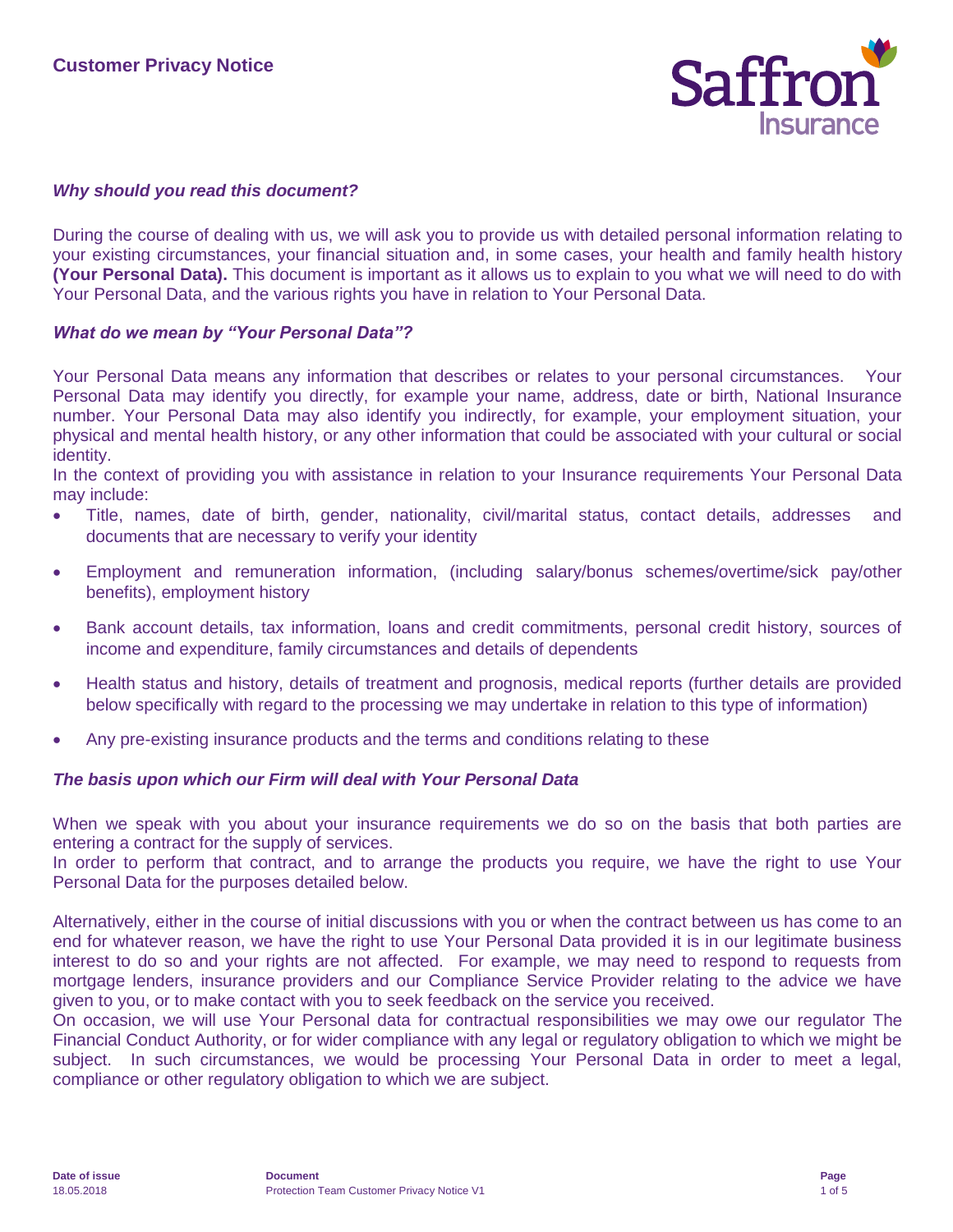

### *Why should you read this document?*

During the course of dealing with us, we will ask you to provide us with detailed personal information relating to your existing circumstances, your financial situation and, in some cases, your health and family health history **(Your Personal Data).** This document is important as it allows us to explain to you what we will need to do with Your Personal Data, and the various rights you have in relation to Your Personal Data.

#### *What do we mean by "Your Personal Data"?*

Your Personal Data means any information that describes or relates to your personal circumstances. Your Personal Data may identify you directly, for example your name, address, date or birth, National Insurance number. Your Personal Data may also identify you indirectly, for example, your employment situation, your physical and mental health history, or any other information that could be associated with your cultural or social identity.

In the context of providing you with assistance in relation to your Insurance requirements Your Personal Data may include:

- Title, names, date of birth, gender, nationality, civil/marital status, contact details, addresses and documents that are necessary to verify your identity
- Employment and remuneration information, (including salary/bonus schemes/overtime/sick pay/other benefits), employment history
- Bank account details, tax information, loans and credit commitments, personal credit history, sources of income and expenditure, family circumstances and details of dependents
- Health status and history, details of treatment and prognosis, medical reports (further details are provided below specifically with regard to the processing we may undertake in relation to this type of information)
- Any pre-existing insurance products and the terms and conditions relating to these

#### *The basis upon which our Firm will deal with Your Personal Data*

When we speak with you about your insurance requirements we do so on the basis that both parties are entering a contract for the supply of services.

In order to perform that contract, and to arrange the products you require, we have the right to use Your Personal Data for the purposes detailed below.

Alternatively, either in the course of initial discussions with you or when the contract between us has come to an end for whatever reason, we have the right to use Your Personal Data provided it is in our legitimate business interest to do so and your rights are not affected. For example, we may need to respond to requests from mortgage lenders, insurance providers and our Compliance Service Provider relating to the advice we have given to you, or to make contact with you to seek feedback on the service you received.

On occasion, we will use Your Personal data for contractual responsibilities we may owe our regulator The Financial Conduct Authority, or for wider compliance with any legal or regulatory obligation to which we might be subject. In such circumstances, we would be processing Your Personal Data in order to meet a legal, compliance or other regulatory obligation to which we are subject.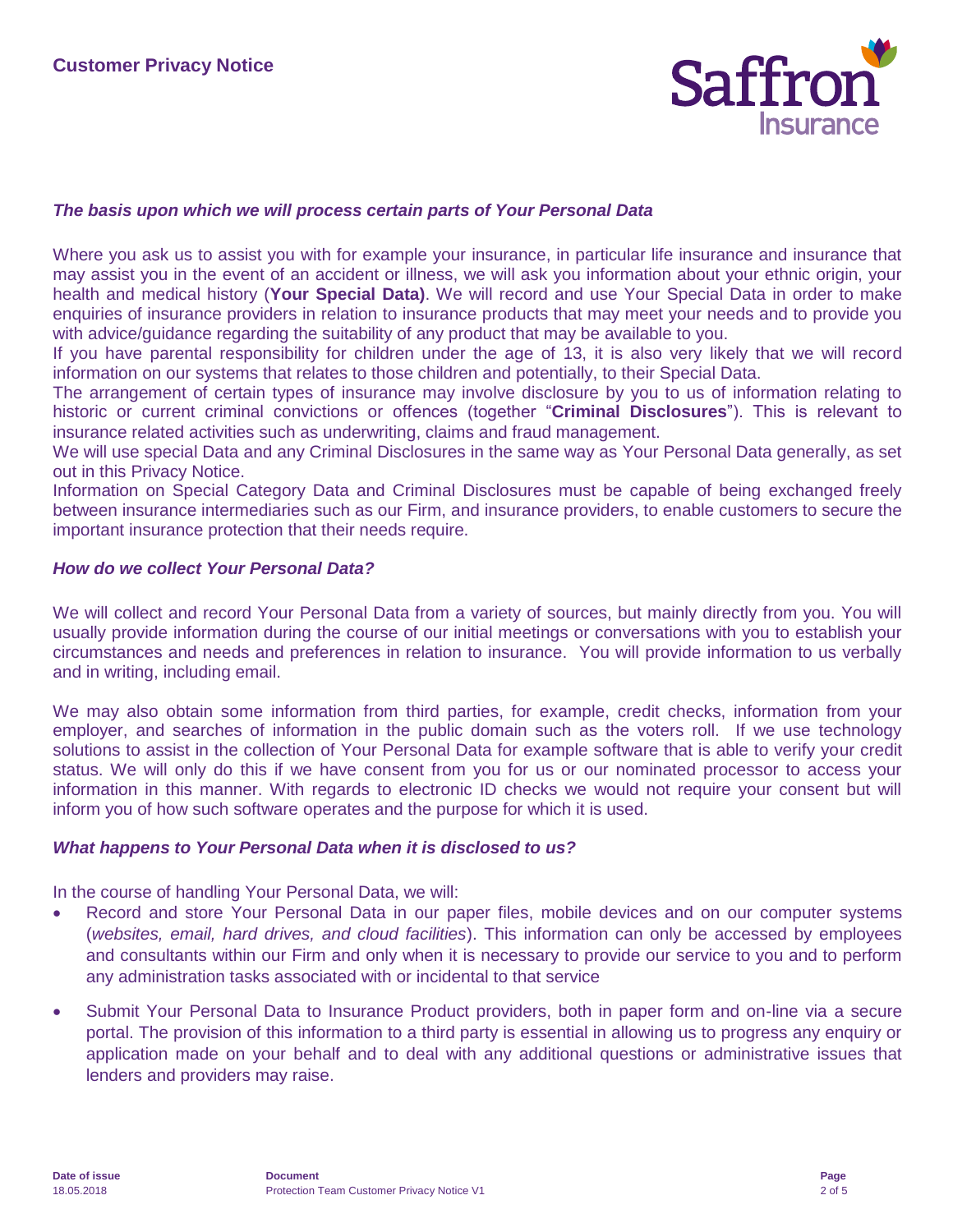

### *The basis upon which we will process certain parts of Your Personal Data*

Where you ask us to assist you with for example your insurance, in particular life insurance and insurance that may assist you in the event of an accident or illness, we will ask you information about your ethnic origin, your health and medical history (**Your Special Data)**. We will record and use Your Special Data in order to make enquiries of insurance providers in relation to insurance products that may meet your needs and to provide you with advice/guidance regarding the suitability of any product that may be available to you.

If you have parental responsibility for children under the age of 13, it is also very likely that we will record information on our systems that relates to those children and potentially, to their Special Data.

The arrangement of certain types of insurance may involve disclosure by you to us of information relating to historic or current criminal convictions or offences (together "**Criminal Disclosures**"). This is relevant to insurance related activities such as underwriting, claims and fraud management.

We will use special Data and any Criminal Disclosures in the same way as Your Personal Data generally, as set out in this Privacy Notice.

Information on Special Category Data and Criminal Disclosures must be capable of being exchanged freely between insurance intermediaries such as our Firm, and insurance providers, to enable customers to secure the important insurance protection that their needs require.

### *How do we collect Your Personal Data?*

We will collect and record Your Personal Data from a variety of sources, but mainly directly from you. You will usually provide information during the course of our initial meetings or conversations with you to establish your circumstances and needs and preferences in relation to insurance. You will provide information to us verbally and in writing, including email.

We may also obtain some information from third parties, for example, credit checks, information from your employer, and searches of information in the public domain such as the voters roll. If we use technology solutions to assist in the collection of Your Personal Data for example software that is able to verify your credit status. We will only do this if we have consent from you for us or our nominated processor to access your information in this manner. With regards to electronic ID checks we would not require your consent but will inform you of how such software operates and the purpose for which it is used.

#### *What happens to Your Personal Data when it is disclosed to us?*

In the course of handling Your Personal Data, we will:

- Record and store Your Personal Data in our paper files, mobile devices and on our computer systems (*websites, email, hard drives, and cloud facilities*). This information can only be accessed by employees and consultants within our Firm and only when it is necessary to provide our service to you and to perform any administration tasks associated with or incidental to that service
- Submit Your Personal Data to Insurance Product providers, both in paper form and on-line via a secure portal. The provision of this information to a third party is essential in allowing us to progress any enquiry or application made on your behalf and to deal with any additional questions or administrative issues that lenders and providers may raise.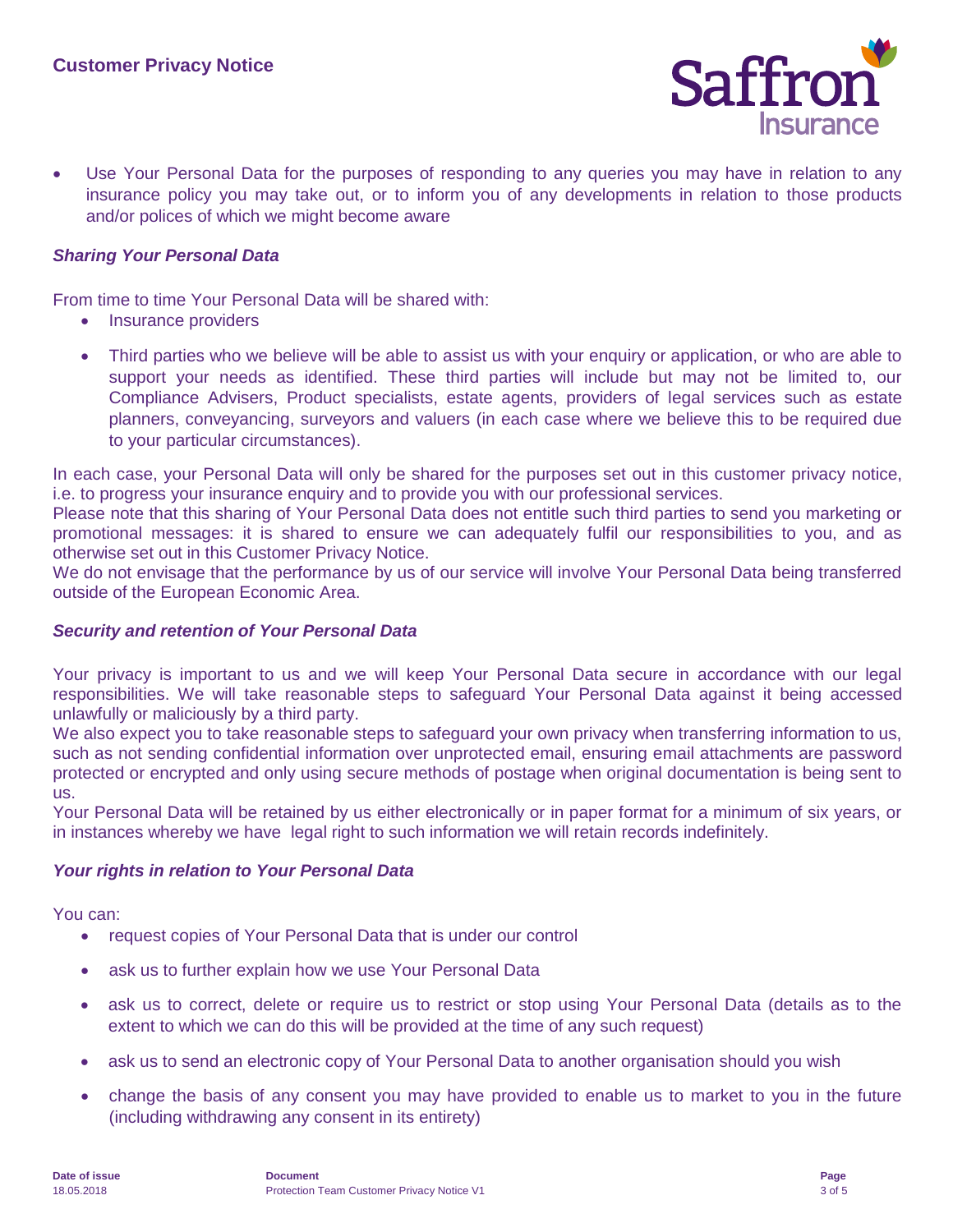

 Use Your Personal Data for the purposes of responding to any queries you may have in relation to any insurance policy you may take out, or to inform you of any developments in relation to those products and/or polices of which we might become aware

### *Sharing Your Personal Data*

From time to time Your Personal Data will be shared with:

- Insurance providers
- Third parties who we believe will be able to assist us with your enquiry or application, or who are able to support your needs as identified. These third parties will include but may not be limited to, our Compliance Advisers, Product specialists, estate agents, providers of legal services such as estate planners, conveyancing, surveyors and valuers (in each case where we believe this to be required due to your particular circumstances).

In each case, your Personal Data will only be shared for the purposes set out in this customer privacy notice, i.e. to progress your insurance enquiry and to provide you with our professional services.

Please note that this sharing of Your Personal Data does not entitle such third parties to send you marketing or promotional messages: it is shared to ensure we can adequately fulfil our responsibilities to you, and as otherwise set out in this Customer Privacy Notice.

We do not envisage that the performance by us of our service will involve Your Personal Data being transferred outside of the European Economic Area.

### *Security and retention of Your Personal Data*

Your privacy is important to us and we will keep Your Personal Data secure in accordance with our legal responsibilities. We will take reasonable steps to safeguard Your Personal Data against it being accessed unlawfully or maliciously by a third party.

We also expect you to take reasonable steps to safeguard your own privacy when transferring information to us, such as not sending confidential information over unprotected email, ensuring email attachments are password protected or encrypted and only using secure methods of postage when original documentation is being sent to us.

Your Personal Data will be retained by us either electronically or in paper format for a minimum of six years, or in instances whereby we have legal right to such information we will retain records indefinitely.

### *Your rights in relation to Your Personal Data*

You can:

- request copies of Your Personal Data that is under our control
- ask us to further explain how we use Your Personal Data
- ask us to correct, delete or require us to restrict or stop using Your Personal Data (details as to the extent to which we can do this will be provided at the time of any such request)
- ask us to send an electronic copy of Your Personal Data to another organisation should you wish
- change the basis of any consent you may have provided to enable us to market to you in the future (including withdrawing any consent in its entirety)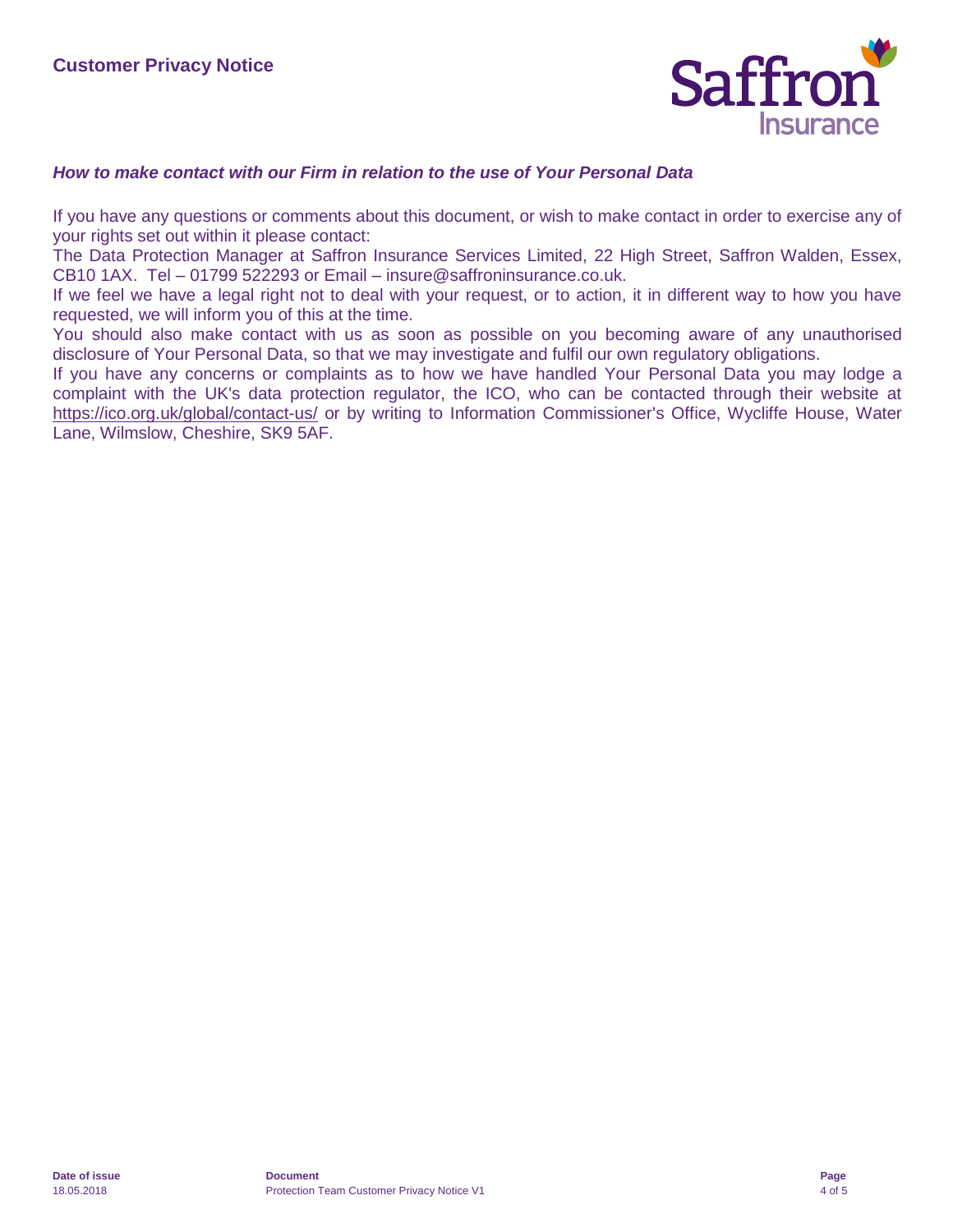

### *How to make contact with our Firm in relation to the use of Your Personal Data*

If you have any questions or comments about this document, or wish to make contact in order to exercise any of your rights set out within it please contact:

The Data Protection Manager at Saffron Insurance Services Limited, 22 High Street, Saffron Walden, Essex, CB10 1AX. Tel – 01799 522293 or Email – insure@saffroninsurance.co.uk.

If we feel we have a legal right not to deal with your request, or to action, it in different way to how you have requested, we will inform you of this at the time.

You should also make contact with us as soon as possible on you becoming aware of any unauthorised disclosure of Your Personal Data, so that we may investigate and fulfil our own regulatory obligations.

If you have any concerns or complaints as to how we have handled Your Personal Data you may lodge a complaint with the UK's data protection regulator, the ICO, who can be contacted through their website at <https://ico.org.uk/global/contact-us/> or by writing to Information Commissioner's Office, Wycliffe House, Water Lane, Wilmslow, Cheshire, SK9 5AF.